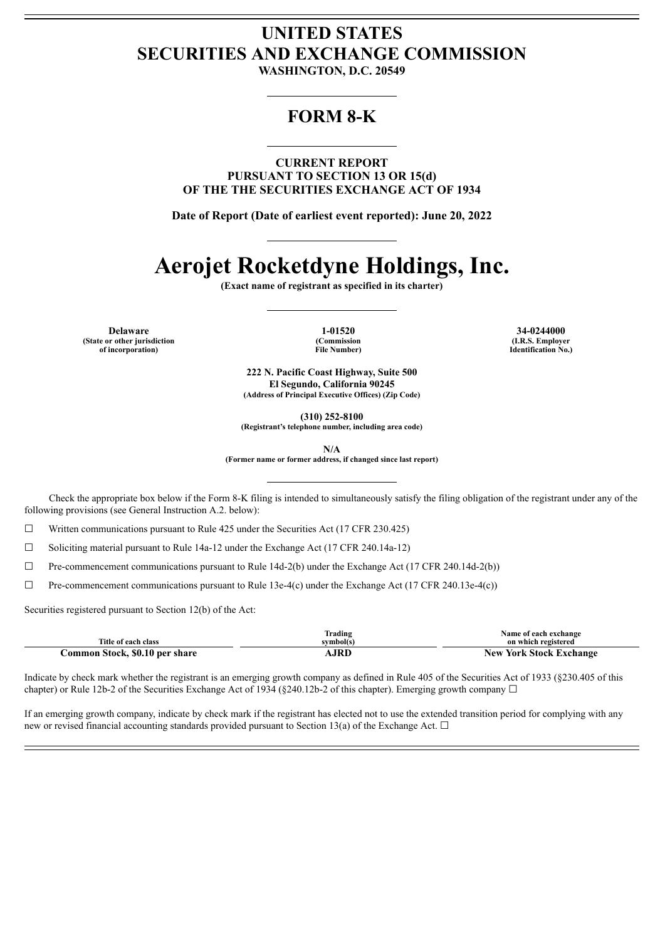## **UNITED STATES SECURITIES AND EXCHANGE COMMISSION**

**WASHINGTON, D.C. 20549**

### **FORM 8-K**

**CURRENT REPORT PURSUANT TO SECTION 13 OR 15(d) OF THE THE SECURITIES EXCHANGE ACT OF 1934**

**Date of Report (Date of earliest event reported): June 20, 2022**

# **Aerojet Rocketdyne Holdings, Inc.**

**(Exact name of registrant as specified in its charter)**

**Delaware 1-01520 34-0244000 (State or other jurisdiction of incorporation)**

**(Commission File Number)**

**(I.R.S. Employer Identification No.)**

**222 N. Pacific Coast Highway, Suite 500 El Segundo, California 90245 (Address of Principal Executive Offices) (Zip Code)**

**(310) 252-8100**

**(Registrant's telephone number, including area code)**

**N/A**

**(Former name or former address, if changed since last report)**

Check the appropriate box below if the Form 8-K filing is intended to simultaneously satisfy the filing obligation of the registrant under any of the following provisions (see General Instruction A.2. below):

 $\Box$  Written communications pursuant to Rule 425 under the Securities Act (17 CFR 230.425)

 $\Box$  Soliciting material pursuant to Rule 14a-12 under the Exchange Act (17 CFR 240.14a-12)

 $\Box$  Pre-commencement communications pursuant to Rule 14d-2(b) under the Exchange Act (17 CFR 240.14d-2(b))

 $\Box$  Pre-commencement communications pursuant to Rule 13e-4(c) under the Exchange Act (17 CFR 240.13e-4(c))

Securities registered pursuant to Section 12(b) of the Act:

|                                | Frading   | Name of each exchange          |
|--------------------------------|-----------|--------------------------------|
| Title of each class            | symbol(s) | on which registered            |
| Common Stock, \$0.10 per share | AJRD -    | <b>New York Stock Exchange</b> |

Indicate by check mark whether the registrant is an emerging growth company as defined in Rule 405 of the Securities Act of 1933 (§230.405 of this chapter) or Rule 12b-2 of the Securities Exchange Act of 1934 (§240.12b-2 of this chapter). Emerging growth company  $\Box$ 

If an emerging growth company, indicate by check mark if the registrant has elected not to use the extended transition period for complying with any new or revised financial accounting standards provided pursuant to Section 13(a) of the Exchange Act.  $\Box$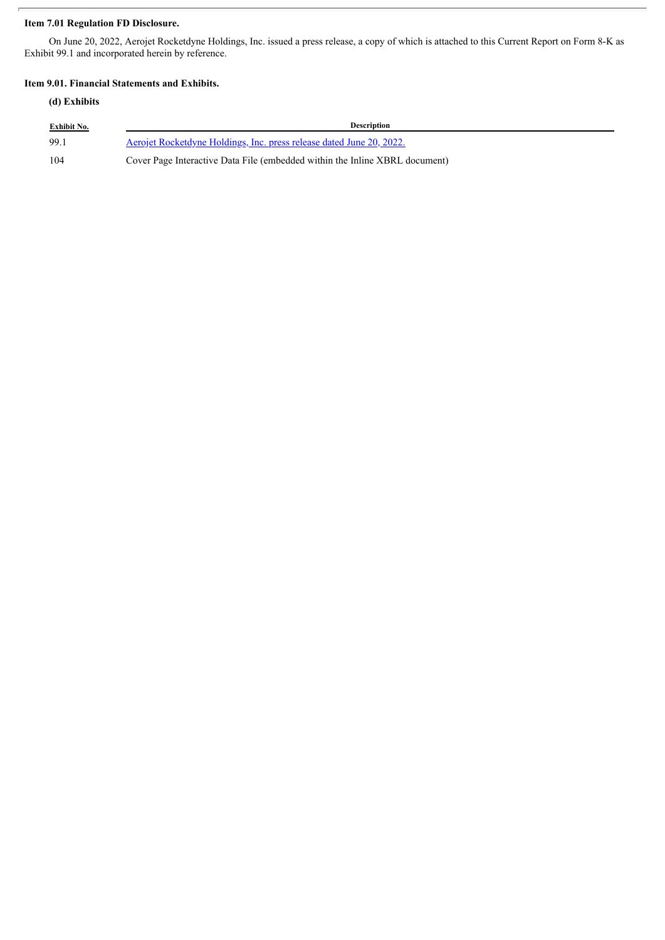#### **Item 7.01 Regulation FD Disclosure.**

On June 20, 2022, Aerojet Rocketdyne Holdings, Inc. issued a press release, a copy of which is attached to this Current Report on Form 8-K as Exhibit 99.1 and incorporated herein by reference.

#### **Item 9.01. Financial Statements and Exhibits.**

#### **(d) Exhibits**

| <b>Exhibit No.</b> | <b>Description</b>                                                          |
|--------------------|-----------------------------------------------------------------------------|
| 99.1               | Aerojet Rocketdyne Holdings, Inc. press release dated June 20, 2022.        |
| 104                | Cover Page Interactive Data File (embedded within the Inline XBRL document) |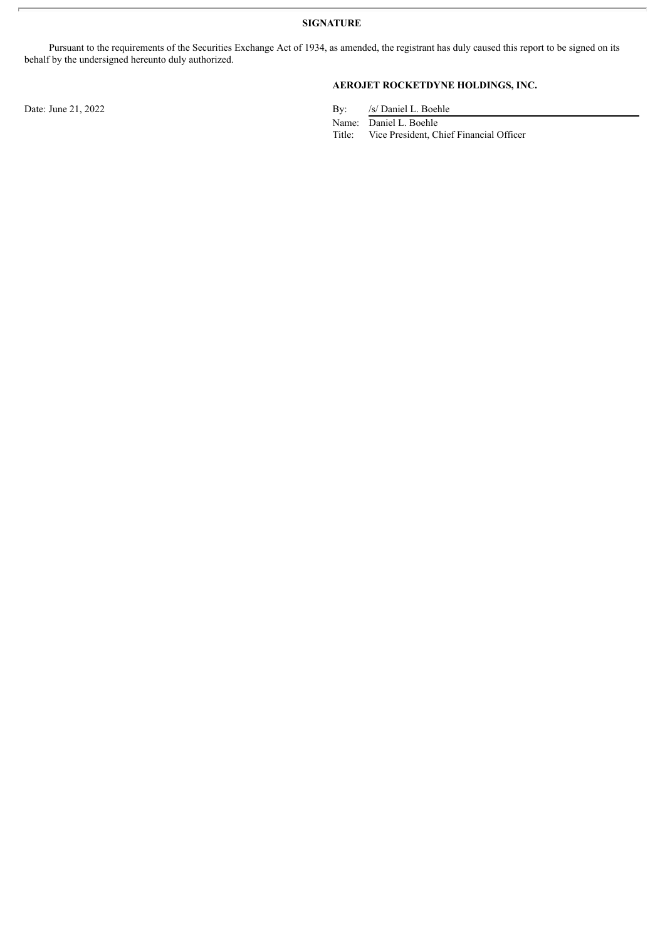**SIGNATURE**

Pursuant to the requirements of the Securities Exchange Act of 1934, as amended, the registrant has duly caused this report to be signed on its behalf by the undersigned hereunto duly authorized.

#### **AEROJET ROCKETDYNE HOLDINGS, INC.**

Date: June 21, 2022 By: /s/ Daniel L. Boehle

Name: Daniel L. Boehle

Title: Vice President, Chief Financial Officer